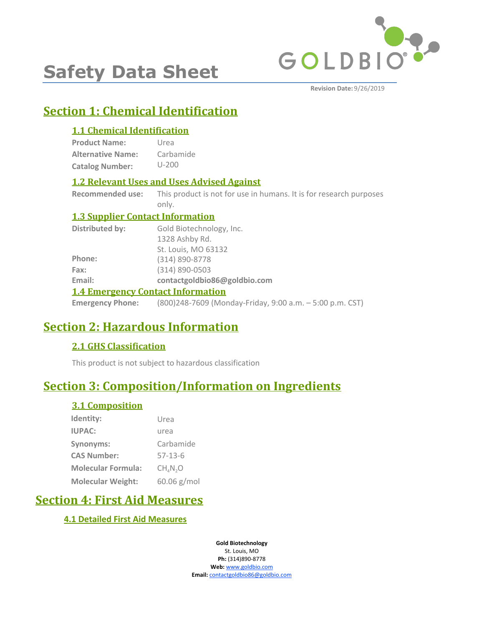

# **Safety Data Sheet**

**Revision Date:** 9/26/2019

## **Section 1: Chemical Identification**

#### **1.1 Chemical Identification**

**Product Name: Alternative Name: Catalog Number:** Urea Carbamide U-200

#### **1.2 Relevant Uses and Uses Advised Against**

**Recommended use:** This product is not for use in humans. It is for research purposes only.

#### **1.3 Supplier Contact Information**

| Distributed by:         | Gold Biotechnology, Inc.                                 |  |  |
|-------------------------|----------------------------------------------------------|--|--|
|                         | 1328 Ashby Rd.                                           |  |  |
|                         | St. Louis, MO 63132                                      |  |  |
| Phone:                  | (314) 890-8778                                           |  |  |
| Fax:                    | $(314) 890 - 0503$                                       |  |  |
| Email:                  | contactgoldbio86@goldbio.com                             |  |  |
|                         | <b>1.4 Emergency Contact Information</b>                 |  |  |
| <b>Emergency Phone:</b> | (800)248-7609 (Monday-Friday, 9:00 a.m. - 5:00 p.m. CST) |  |  |

### **Section 2: Hazardous Information**

#### **2.1 GHS Classification**

This product is not subject to hazardous classification

### **Section 3: Composition/Information on Ingredients**

#### **3.1 Composition**

| Identity:                 | Urea                             |
|---------------------------|----------------------------------|
| <b>IUPAC:</b>             | urea                             |
| Synonyms:                 | Carbamide                        |
| <b>CAS Number:</b>        | $57 - 13 - 6$                    |
| <b>Molecular Formula:</b> | CH <sub>4</sub> N <sub>2</sub> O |
| <b>Molecular Weight:</b>  | 60.06 g/mol                      |

### **Section 4: First Aid Measures**

#### **4.1 Detailed First Aid Measures**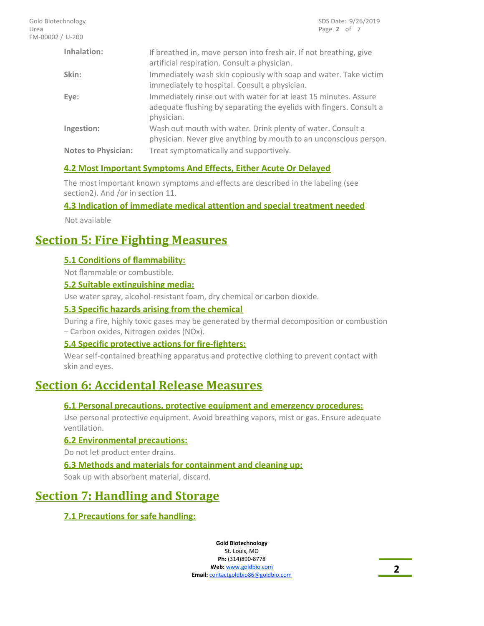| Inhalation:                | If breathed in, move person into fresh air. If not breathing, give<br>artificial respiration. Consult a physician.                                    |
|----------------------------|-------------------------------------------------------------------------------------------------------------------------------------------------------|
| Skin:                      | Immediately wash skin copiously with soap and water. Take victim<br>immediately to hospital. Consult a physician.                                     |
| Eye:                       | Immediately rinse out with water for at least 15 minutes. Assure<br>adequate flushing by separating the eyelids with fingers. Consult a<br>physician. |
| Ingestion:                 | Wash out mouth with water. Drink plenty of water. Consult a<br>physician. Never give anything by mouth to an unconscious person.                      |
| <b>Notes to Physician:</b> | Treat symptomatically and supportively.                                                                                                               |

#### **4.2 Most Important Symptoms And Effects, Either Acute Or Delayed**

The most important known symptoms and effects are described in the labeling (see section2). And /or in section 11.

#### **4.3 Indication of immediate medical attention and special treatment needed**

Not available

### **Section 5: Fire Fighting Measures**

#### **5.1 Conditions of flammability:**

Not flammable or combustible.

#### **5.2 Suitable extinguishing media:**

Use water spray, alcohol-resistant foam, dry chemical or carbon dioxide.

#### **5.3 Specific hazards arising from the chemical**

During a fire, highly toxic gases may be generated by thermal decomposition or combustion – Carbon oxides, Nitrogen oxides (NOx).

#### **5.4 Specific protective actions for fire-fighters:**

Wear self-contained breathing apparatus and protective clothing to prevent contact with skin and eyes.

### **Section 6: Accidental Release Measures**

#### **6.1 Personal precautions, protective equipment and emergency procedures:**

Use personal protective equipment. Avoid breathing vapors, mist or gas. Ensure adequate ventilation.

#### **6.2 Environmental precautions:**

Do not let product enter drains.

#### **6.3 Methods and materials for containment and cleaning up:**

Soak up with absorbent material, discard.

### **Section 7: Handling and Storage**

#### **7.1 Precautions for safe handling:**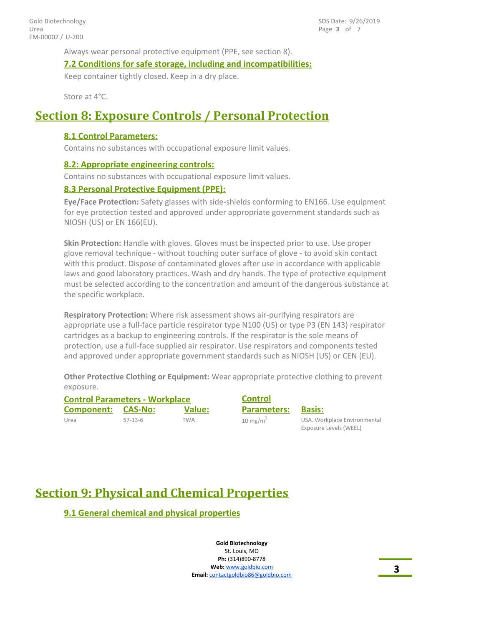Always wear personal protective equipment (PPE, see section 8).

**7.2 Conditions for safe storage, including and incompatibilities:**

Keep container tightly closed. Keep in a dry place.

Store at 4°C.

### **Section 8: Exposure Controls / Personal Protection**

#### **8.1 Control Parameters:**

Contains no substances with occupational exposure limit values.

#### **8.2: Appropriate engineering controls:**

Contains no substances with occupational exposure limit values.

#### **8.3 Personal Protective Equipment (PPE):**

**Eye/Face Protection:** Safety glasses with side-shields conforming to EN166. Use equipment for eye protection tested and approved under appropriate government standards such as NIOSH (US) or EN 166(EU).

**Skin Protection:** Handle with gloves. Gloves must be inspected prior to use. Use proper glove removal technique - without touching outer surface of glove - to avoid skin contact with this product. Dispose of contaminated gloves after use in accordance with applicable laws and good laboratory practices. Wash and dry hands. The type of protective equipment must be selected according to the concentration and amount of the dangerous substance at the specific workplace.

**Respiratory Protection:** Where risk assessment shows air-purifying respirators are appropriate use a full-face particle respirator type N100 (US) or type P3 (EN 143) respirator cartridges as a backup to engineering controls. If the respirator is the sole means of protection, use a full-face supplied air respirator. Use respirators and components tested and approved under appropriate government standards such as NIOSH (US) or CEN (EU).

**Other Protective Clothing or Equipment:** Wear appropriate protective clothing to prevent exposure.

| <b>Control Parameters - Workplace</b> |           |               | <b>Control</b>      |                                                        |  |
|---------------------------------------|-----------|---------------|---------------------|--------------------------------------------------------|--|
| Component:                            | CAS-No:   | <b>Value:</b> | <b>Parameters:</b>  | Basis:                                                 |  |
| Urea                                  | $57-13-6$ | TWA           | $10 \text{ mg/m}^3$ | USA. Workplace Environmental<br>Exposure Levels (WEEL) |  |

## **Section 9: Physical and Chemical Properties**

**9.1 General chemical and physical properties**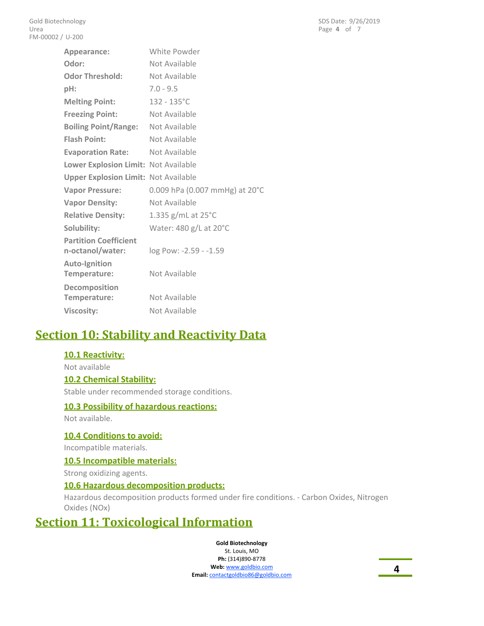| Appearance:                                 | White Powder                   |
|---------------------------------------------|--------------------------------|
| Odor:                                       | Not Available                  |
| <b>Odor Threshold:</b>                      | Not Available                  |
| $pH$ :                                      | $7.0 - 9.5$                    |
| <b>Melting Point:</b>                       | $132 - 135^{\circ}$ C          |
| <b>Freezing Point:</b>                      | Not Available                  |
| <b>Boiling Point/Range:</b>                 | Not Available                  |
| <b>Flash Point:</b>                         | Not Available                  |
| <b>Evaporation Rate:</b>                    | Not Available                  |
| Lower Explosion Limit: Not Available        |                                |
| <b>Upper Explosion Limit: Not Available</b> |                                |
| <b>Vapor Pressure:</b>                      | 0.009 hPa (0.007 mmHg) at 20°C |
| <b>Vapor Density:</b>                       | Not Available                  |
| <b>Relative Density:</b>                    | 1.335 g/mL at 25°C             |
| Solubility:                                 | Water: 480 g/L at 20°C         |
| <b>Partition Coefficient</b>                |                                |
| n-octanol/water:                            | log Pow: -2.59 - -1.59         |
| <b>Auto-Ignition</b>                        |                                |
| Temperature:                                | Not Available                  |
| Decomposition                               |                                |
| Temperature:                                | Not Available                  |
| <b>Viscosity:</b>                           | Not Available                  |

### **Section 10: Stability and Reactivity Data**

#### **10.1 Reactivity:**

Not available

#### **10.2 Chemical Stability:**

Stable under recommended storage conditions.

#### **10.3 Possibility of hazardous reactions:**

Not available.

#### **10.4 Conditions to avoid:**

Incompatible materials.

#### **10.5 Incompatible materials:**

Strong oxidizing agents.

#### **10.6 Hazardous decomposition products:**

Hazardous decomposition products formed under fire conditions. - Carbon Oxides, Nitrogen Oxides (NOx)

### **Section 11: Toxicological Information**

**Gold Biotechnology**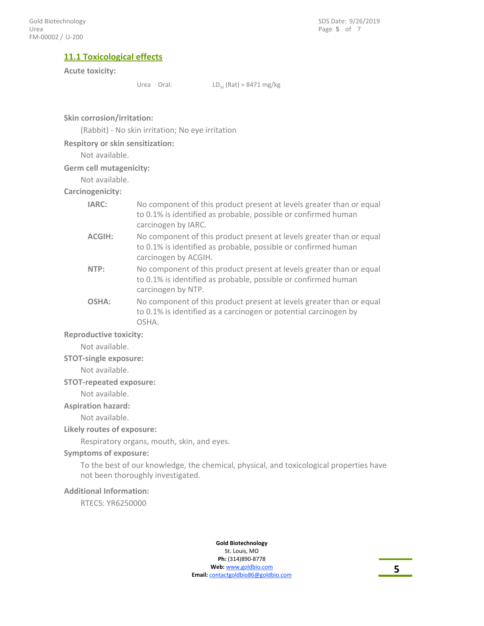#### **11.1 Toxicological effects**

#### **Acute toxicity:**

Urea Oral:  $LD_{50} (Rat) = 8471 mg/kg$ 

**Skin corrosion/irritation:**

(Rabbit) - No skin irritation; No eye irritation

#### **Respitory or skin sensitization:**

Not available.

**Germ cell mutagenicity:**

#### Not available. **Carcinogenicity:**

|  | arumusumurry.                  |  |  |
|--|--------------------------------|--|--|
|  | $1$ $\wedge$ $\wedge$ $\wedge$ |  |  |

| IARC:  | No component of this product present at levels greater than or equal<br>to 0.1% is identified as probable, possible or confirmed human<br>carcinogen by IARC.  |
|--------|----------------------------------------------------------------------------------------------------------------------------------------------------------------|
| ACGIH: | No component of this product present at levels greater than or equal<br>to 0.1% is identified as probable, possible or confirmed human<br>carcinogen by ACGIH. |
| NTP:   | No component of this product present at levels greater than or equal<br>to 0.1% is identified as probable, possible or confirmed human<br>carcinogen by NTP.   |
| OSHA:  | No component of this product present at levels greater than or equal<br>to 0.1% is identified as a carcinogen or potential carcinogen by<br>OSHA.              |

#### **Reproductive toxicity:**

Not available.

#### **STOT-single exposure:**

Not available.

#### **STOT-repeated exposure:**

Not available.

#### **Aspiration hazard:**

Not available.

#### **Likely routes of exposure:**

Respiratory organs, mouth, skin, and eyes.

#### **Symptoms of exposure:**

To the best of our knowledge, the chemical, physical, and toxicological properties have not been thoroughly investigated.

#### **Additional Information:**

RTECS: YR6250000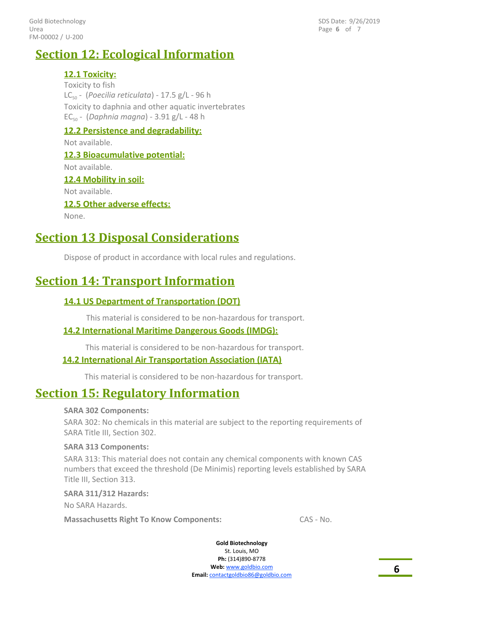FM-00002 / U-200 Gold Biotechnology Urea

Page **6** of 7 SDS Date: 9/26/2019

### **Section 12: Ecological Information**

**12.1 Toxicity:** Toxicity to fish LC50 - (*Poecilia reticulata*) - 17.5 g/L - 96 h Toxicity to daphnia and other aquatic invertebrates EC50 - (*Daphnia magna*) - 3.91 g/L - 48 h **12.2 Persistence and degradability:**

Not available.

#### **12.3 Bioacumulative potential:**

Not available. **12.4 Mobility in soil:** Not available. **12.5 Other adverse effects:** None.

### **Section 13 Disposal Considerations**

Dispose of product in accordance with local rules and regulations.

### **Section 14: Transport Information**

#### **14.1 US Department of Transportation (DOT)**

This material is considered to be non-hazardous for transport.

#### **14.2 International Maritime Dangerous Goods (IMDG):**

This material is considered to be non-hazardous for transport.

#### **14.2 International Air Transportation Association (IATA)**

This material is considered to be non-hazardous for transport.

### **Section 15: Regulatory Information**

#### **SARA 302 Components:**

SARA 302: No chemicals in this material are subject to the reporting requirements of SARA Title III, Section 302.

#### **SARA 313 Components:**

SARA 313: This material does not contain any chemical components with known CAS numbers that exceed the threshold (De Minimis) reporting levels established by SARA Title III, Section 313.

#### **SARA 311/312 Hazards:**

No SARA Hazards.

**Massachusetts Right To Know Components:** CAS - No.